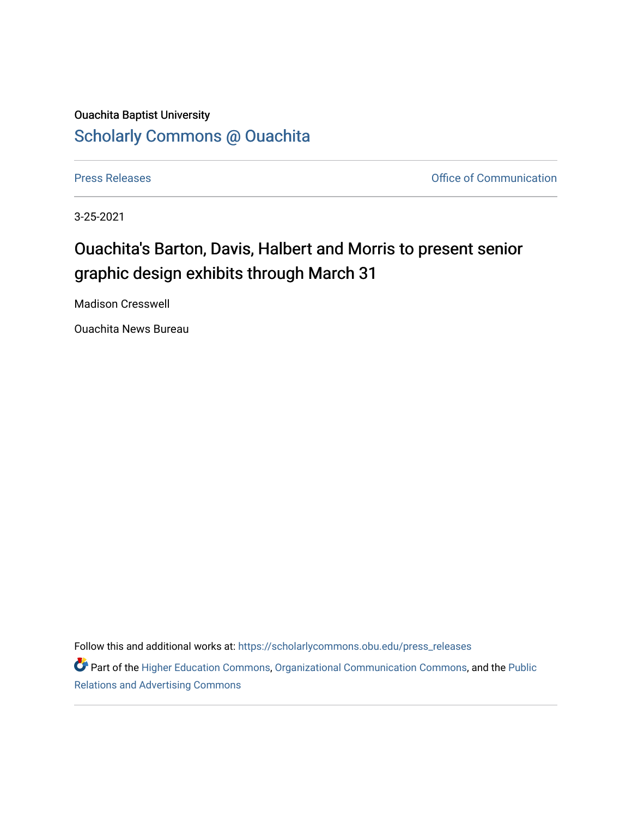## Ouachita Baptist University [Scholarly Commons @ Ouachita](https://scholarlycommons.obu.edu/)

[Press Releases](https://scholarlycommons.obu.edu/press_releases) **Press Releases Communication Press Releases Office of Communication** 

3-25-2021

## Ouachita's Barton, Davis, Halbert and Morris to present senior graphic design exhibits through March 31

Madison Cresswell

Ouachita News Bureau

Follow this and additional works at: [https://scholarlycommons.obu.edu/press\\_releases](https://scholarlycommons.obu.edu/press_releases?utm_source=scholarlycommons.obu.edu%2Fpress_releases%2F783&utm_medium=PDF&utm_campaign=PDFCoverPages)

Part of the [Higher Education Commons,](http://network.bepress.com/hgg/discipline/1245?utm_source=scholarlycommons.obu.edu%2Fpress_releases%2F783&utm_medium=PDF&utm_campaign=PDFCoverPages) [Organizational Communication Commons,](http://network.bepress.com/hgg/discipline/335?utm_source=scholarlycommons.obu.edu%2Fpress_releases%2F783&utm_medium=PDF&utm_campaign=PDFCoverPages) and the [Public](http://network.bepress.com/hgg/discipline/336?utm_source=scholarlycommons.obu.edu%2Fpress_releases%2F783&utm_medium=PDF&utm_campaign=PDFCoverPages) [Relations and Advertising Commons](http://network.bepress.com/hgg/discipline/336?utm_source=scholarlycommons.obu.edu%2Fpress_releases%2F783&utm_medium=PDF&utm_campaign=PDFCoverPages)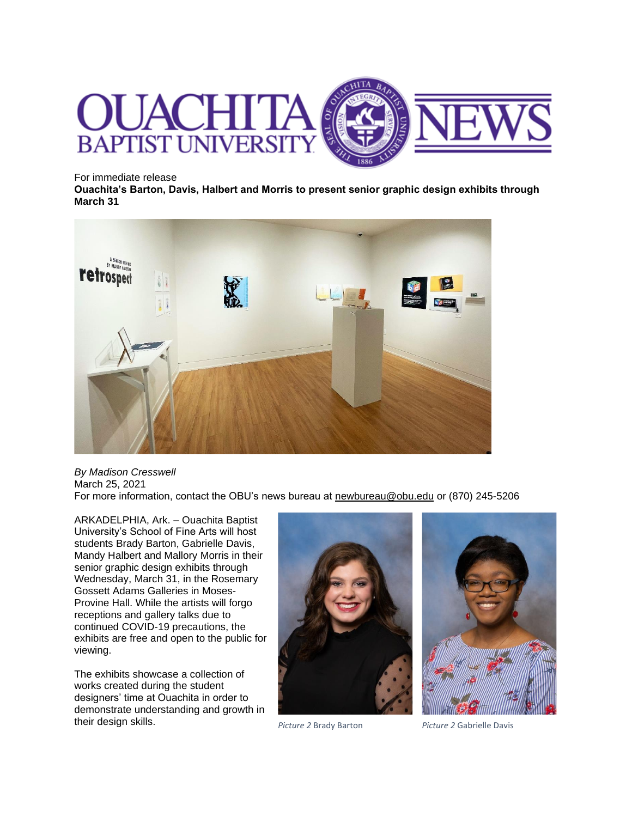

For immediate release

**Ouachita's Barton, Davis, Halbert and Morris to present senior graphic design exhibits through March 31**



*By Madison Cresswell* March 25, 2021 For more information, contact the OBU's news bureau at [newbureau@obu.edu](mailto:newbureau@obu.edu) or (870) 245-5206

ARKADELPHIA, Ark. – Ouachita Baptist University's School of Fine Arts will host students Brady Barton, Gabrielle Davis, Mandy Halbert and Mallory Morris in their senior graphic design exhibits through Wednesday, March 31, in the Rosemary Gossett Adams Galleries in Moses-Provine Hall. While the artists will forgo receptions and gallery talks due to continued COVID-19 precautions, the exhibits are free and open to the public for viewing.

The exhibits showcase a collection of works created during the student designers' time at Ouachita in order to demonstrate understanding and growth in their design skills. *Picture 2* Brady Barton *Picture 2* Gabrielle Davis